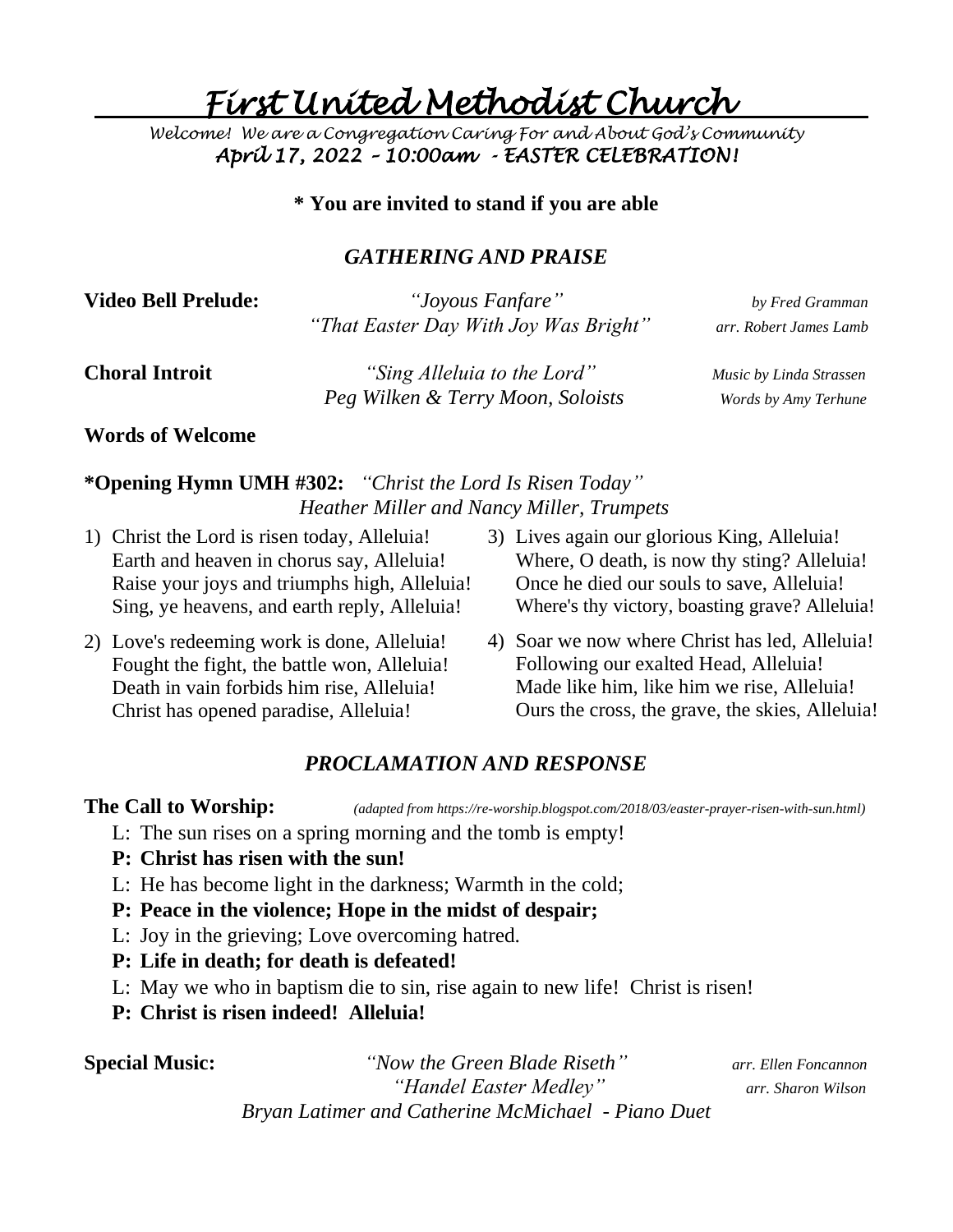*. First United Methodist Church* 

*Welcome! We are a Congregation Caring For and About God's Community April 17, 2022 – 10:00am - EASTER CELEBRATION!* 

#### **\* You are invited to stand if you are able**

#### *GATHERING AND PRAISE*

**Video Bell Prelude:** *"Joyous Fanfare" by Fred Gramman "That Easter Day With Joy Was Bright" arr. Robert James Lamb*

**Choral Introit** *"Sing Alleluia to the Lord" Music by Linda Strassen Peg Wilken & Terry Moon, Soloists Words by Amy Terhune*

#### **Words of Welcome**

### **\*Opening Hymn UMH #302:** *"Christ the Lord Is Risen Today" Heather Miller and Nancy Miller, Trumpets*

- 1) Christ the Lord is risen today, Alleluia! Earth and heaven in chorus say, Alleluia! Raise your joys and triumphs high, Alleluia! Sing, ye heavens, and earth reply, Alleluia!
- 2) Love's redeeming work is done, Alleluia! Fought the fight, the battle won, Alleluia! Death in vain forbids him rise, Alleluia! Christ has opened paradise, Alleluia!
- 3) Lives again our glorious King, Alleluia! Where, O death, is now thy sting? Alleluia! Once he died our souls to save, Alleluia! Where's thy victory, boasting grave? Alleluia!
- 4) Soar we now where Christ has led, Alleluia! Following our exalted Head, Alleluia! Made like him, like him we rise, Alleluia! Ours the cross, the grave, the skies, Alleluia!

## *PROCLAMATION AND RESPONSE*

**The Call to Worship:** *(adapted from https://re-worship.blogspot.com/2018/03/easter-prayer-risen-with-sun.html)*

- L: The sun rises on a spring morning and the tomb is empty!
- **P: Christ has risen with the sun!**
- L: He has become light in the darkness; Warmth in the cold;
- **P: Peace in the violence; Hope in the midst of despair;**
- L: Joy in the grieving; Love overcoming hatred.
- **P: Life in death; for death is defeated!**
- L: May we who in baptism die to sin, rise again to new life! Christ is risen!
- **P: Christ is risen indeed! Alleluia!**

**Special Music:** *"Now the Green Blade Riseth" arr. Ellen Foncannon "Handel Easter Medley" arr. Sharon Wilson Bryan Latimer and Catherine McMichael - Piano Duet*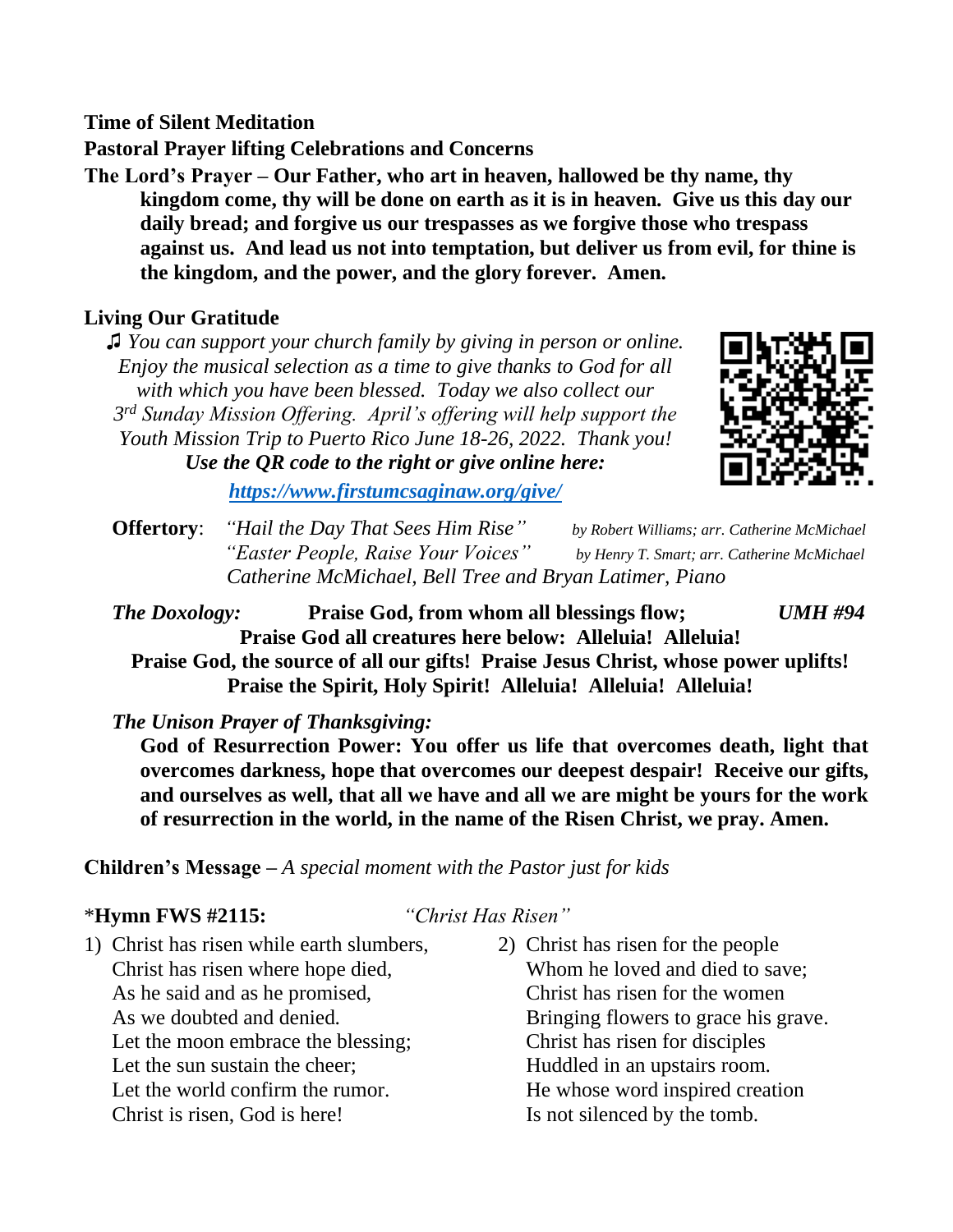**Time of Silent Meditation**

**Pastoral Prayer lifting Celebrations and Concerns**

**The Lord's Prayer – Our Father, who art in heaven, hallowed be thy name, thy kingdom come, thy will be done on earth as it is in heaven. Give us this day our daily bread; and forgive us our trespasses as we forgive those who trespass against us. And lead us not into temptation, but deliver us from evil, for thine is the kingdom, and the power, and the glory forever. Amen.**

## **Living Our Gratitude**

♫ *You can support your church family by giving in person or online. Enjoy the musical selection as a time to give thanks to God for all with which you have been blessed. Today we also collect our 3 rd Sunday Mission Offering. April's offering will help support the Youth Mission Trip to Puerto Rico June 18-26, 2022. Thank you! Use the QR code to the right or give online here:* 



*<https://www.firstumcsaginaw.org/give/>*

 **Offertory**: *"Hail the Day That Sees Him Rise" by Robert Williams; arr. Catherine McMichael "Easter People, Raise Your Voices" by Henry T. Smart; arr. Catherine McMichael Catherine McMichael, Bell Tree and Bryan Latimer, Piano*

*The Doxology:* **Praise God, from whom all blessings flow;** *UMH #94* **Praise God all creatures here below: Alleluia! Alleluia! Praise God, the source of all our gifts! Praise Jesus Christ, whose power uplifts!**

**Praise the Spirit, Holy Spirit! Alleluia! Alleluia! Alleluia!**

*The Unison Prayer of Thanksgiving:*

**God of Resurrection Power: You offer us life that overcomes death, light that overcomes darkness, hope that overcomes our deepest despair! Receive our gifts, and ourselves as well, that all we have and all we are might be yours for the work of resurrection in the world, in the name of the Risen Christ, we pray. Amen.** 

**Children's Message –** *A special moment with the Pastor just for kids*

#### \***Hymn FWS #2115:** *"Christ Has Risen"*

- 1) Christ has risen while earth slumbers, Christ has risen where hope died, As he said and as he promised, As we doubted and denied. Let the moon embrace the blessing; Let the sun sustain the cheer; Let the world confirm the rumor. Christ is risen, God is here!
- 2) Christ has risen for the people Whom he loved and died to save; Christ has risen for the women Bringing flowers to grace his grave. Christ has risen for disciples Huddled in an upstairs room. He whose word inspired creation Is not silenced by the tomb.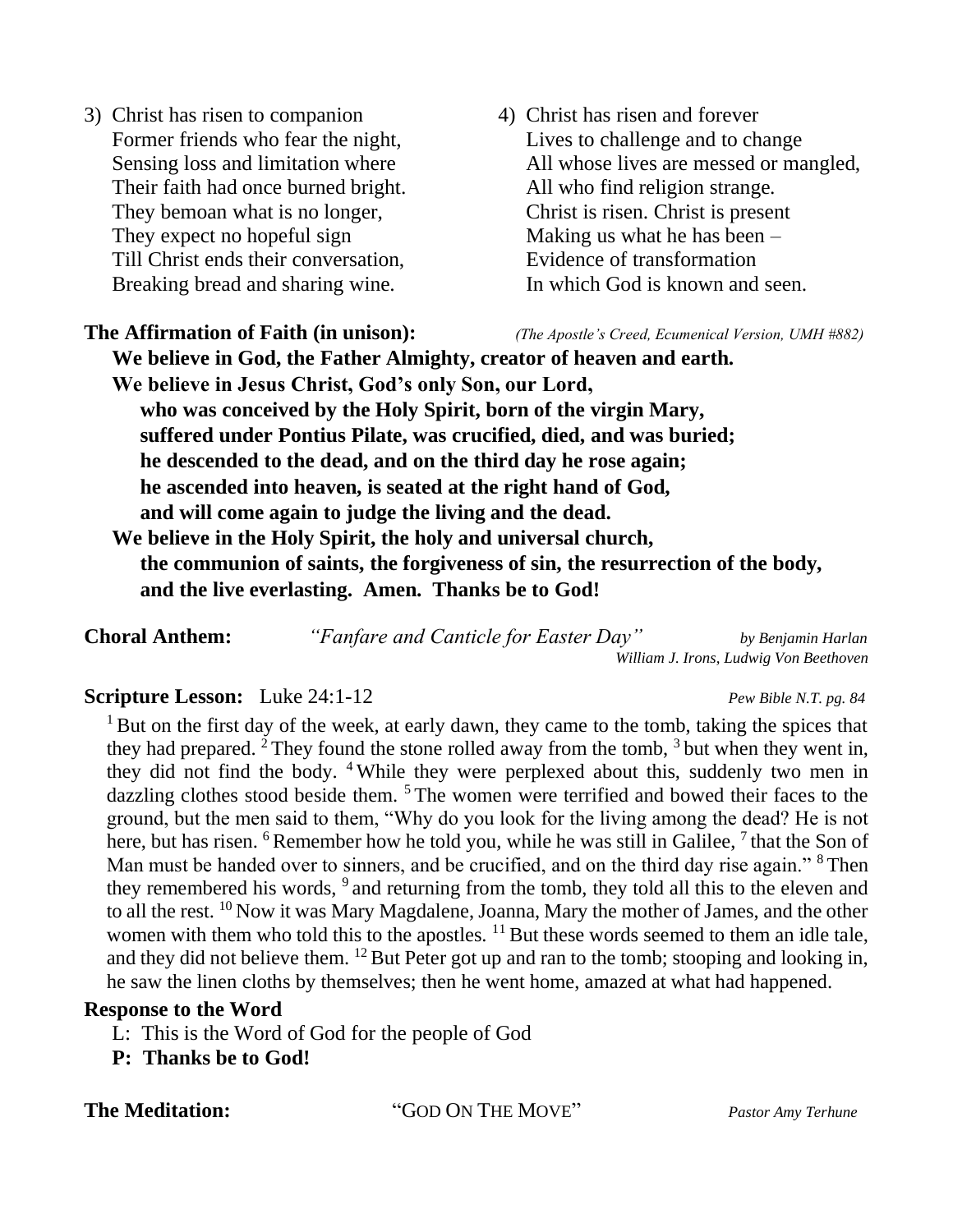- 3) Christ has risen to companion Former friends who fear the night, Sensing loss and limitation where Their faith had once burned bright. They bemoan what is no longer, They expect no hopeful sign Till Christ ends their conversation, Breaking bread and sharing wine.
- 4) Christ has risen and forever Lives to challenge and to change All whose lives are messed or mangled, All who find religion strange. Christ is risen. Christ is present Making us what he has been – Evidence of transformation In which God is known and seen.

**The Affirmation of Faith (in unison):** *(The Apostle's Creed, Ecumenical Version, UMH #882)* **We believe in God, the Father Almighty, creator of heaven and earth. We believe in Jesus Christ, God's only Son, our Lord, who was conceived by the Holy Spirit, born of the virgin Mary, suffered under Pontius Pilate, was crucified, died, and was buried; he descended to the dead, and on the third day he rose again; he ascended into heaven, is seated at the right hand of God, and will come again to judge the living and the dead. We believe in the Holy Spirit, the holy and universal church, the communion of saints, the forgiveness of sin, the resurrection of the body, and the live everlasting. Amen. Thanks be to God!**

**Choral Anthem:** *"Fanfare and Canticle for Easter Day" by Benjamin Harlan William J. Irons, Ludwig Von Beethoven*

#### **Scripture Lesson:** Luke 24:1-12 *Pew Bible N.T. pg. 84*

<sup>1</sup> But on the first day of the week, at early dawn, they came to the tomb, taking the spices that they had prepared. <sup>2</sup> They found the stone rolled away from the tomb,  $3$  but when they went in, they did not find the body. <sup>4</sup> While they were perplexed about this, suddenly two men in dazzling clothes stood beside them. <sup>5</sup> The women were terrified and bowed their faces to the ground, but the men said to them, "Why do you look for the living among the dead? He is not here, but has risen. <sup>6</sup> Remember how he told you, while he was still in Galilee, <sup>7</sup> that the Son of Man must be handed over to sinners, and be crucified, and on the third day rise again." <sup>8</sup> Then they remembered his words, <sup>9</sup> and returning from the tomb, they told all this to the eleven and to all the rest. <sup>10</sup> Now it was Mary Magdalene, Joanna, Mary the mother of James, and the other women with them who told this to the apostles. <sup>11</sup> But these words seemed to them an idle tale, and they did not believe them. <sup>12</sup> But Peter got up and ran to the tomb; stooping and looking in, he saw the linen cloths by themselves; then he went home, amazed at what had happened.

#### **Response to the Word**

- L: This is the Word of God for the people of God
- **P: Thanks be to God!**

**The Meditation:** "GOD ON THE MOVE" *Pastor Amy Terhune*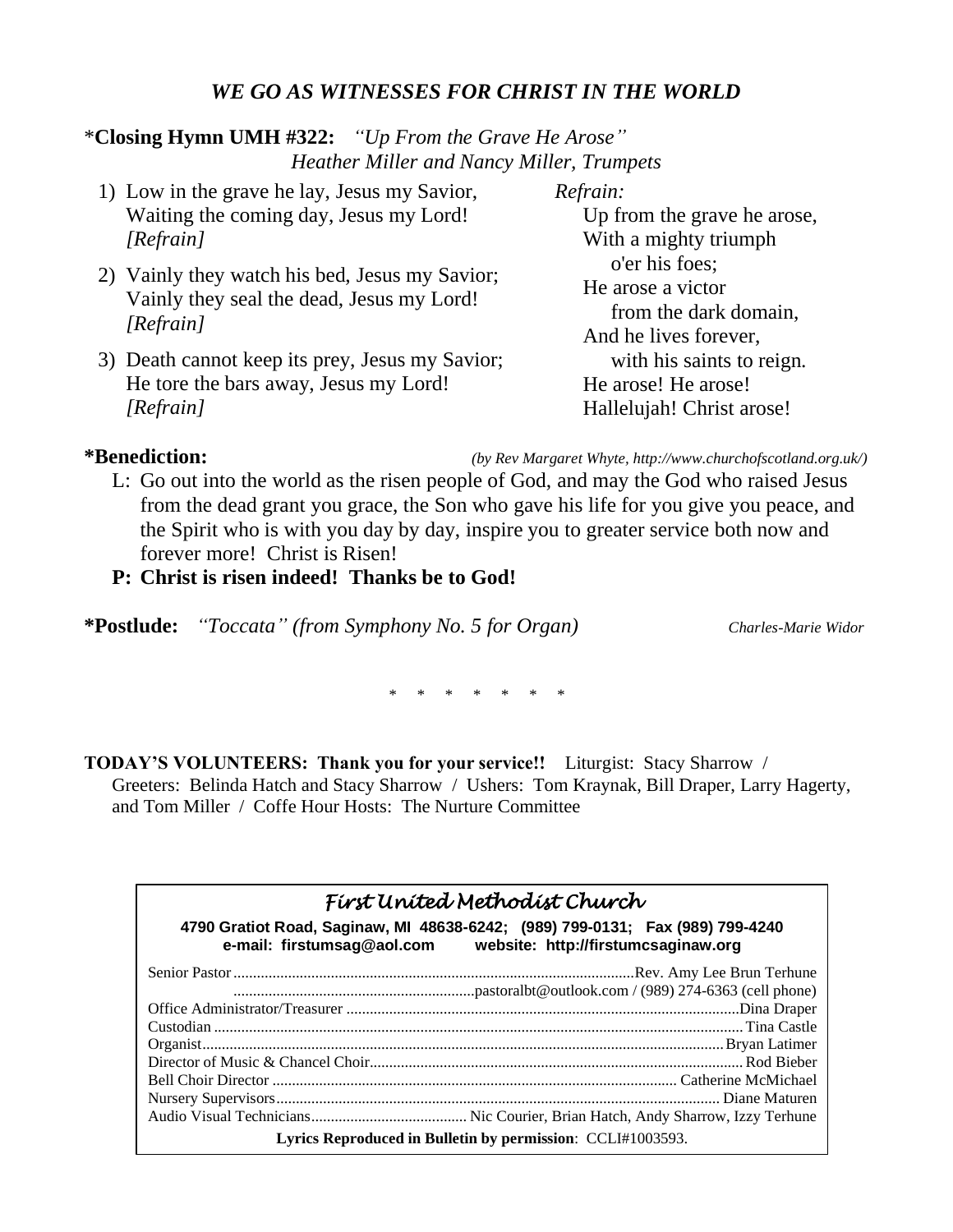### *WE GO AS WITNESSES FOR CHRIST IN THE WORLD*

### \***Closing Hymn UMH #322:** *"Up From the Grave He Arose" Heather Miller and Nancy Miller, Trumpets*

- 1) Low in the grave he lay, Jesus my Savior, Waiting the coming day, Jesus my Lord! *[Refrain] Refrain:*
- 2) Vainly they watch his bed, Jesus my Savior; Vainly they seal the dead, Jesus my Lord! *[Refrain]*
- 3) Death cannot keep its prey, Jesus my Savior; He tore the bars away, Jesus my Lord! *[Refrain]*

Up from the grave he arose, With a mighty triumph o'er his foes; He arose a victor from the dark domain, And he lives forever, with his saints to reign. He arose! He arose! Hallelujah! Christ arose!

**\*Benediction:** *(by Rev Margaret Whyte, http://www.churchofscotland.org.uk/)*

L: Go out into the world as the risen people of God, and may the God who raised Jesus from the dead grant you grace, the Son who gave his life for you give you peace, and the Spirit who is with you day by day, inspire you to greater service both now and forever more! Christ is Risen!

#### **P: Christ is risen indeed! Thanks be to God!**

**\*Postlude:** *"Toccata" (from Symphony No. 5 for Organ) Charles-Marie Widor*

*\* \* \* \* \* \* \**

**TODAY'S VOLUNTEERS: Thank you for your service!!** Liturgist: Stacy Sharrow /

Greeters: Belinda Hatch and Stacy Sharrow / Ushers: Tom Kraynak, Bill Draper, Larry Hagerty, and Tom Miller / Coffe Hour Hosts: The Nurture Committee

| Fírst Uníted Methodíst Church                                                                                                                      |  |  |  |  |
|----------------------------------------------------------------------------------------------------------------------------------------------------|--|--|--|--|
| 4790 Gratiot Road, Saginaw, MI 48638-6242; (989) 799-0131; Fax (989) 799-4240<br>e-mail: firstumsag@aol.com    website: http://firstumcsaginaw.org |  |  |  |  |
|                                                                                                                                                    |  |  |  |  |
|                                                                                                                                                    |  |  |  |  |
|                                                                                                                                                    |  |  |  |  |
|                                                                                                                                                    |  |  |  |  |
|                                                                                                                                                    |  |  |  |  |
|                                                                                                                                                    |  |  |  |  |
|                                                                                                                                                    |  |  |  |  |
|                                                                                                                                                    |  |  |  |  |
|                                                                                                                                                    |  |  |  |  |
| Lyrics Reproduced in Bulletin by permission: CCLI#1003593.                                                                                         |  |  |  |  |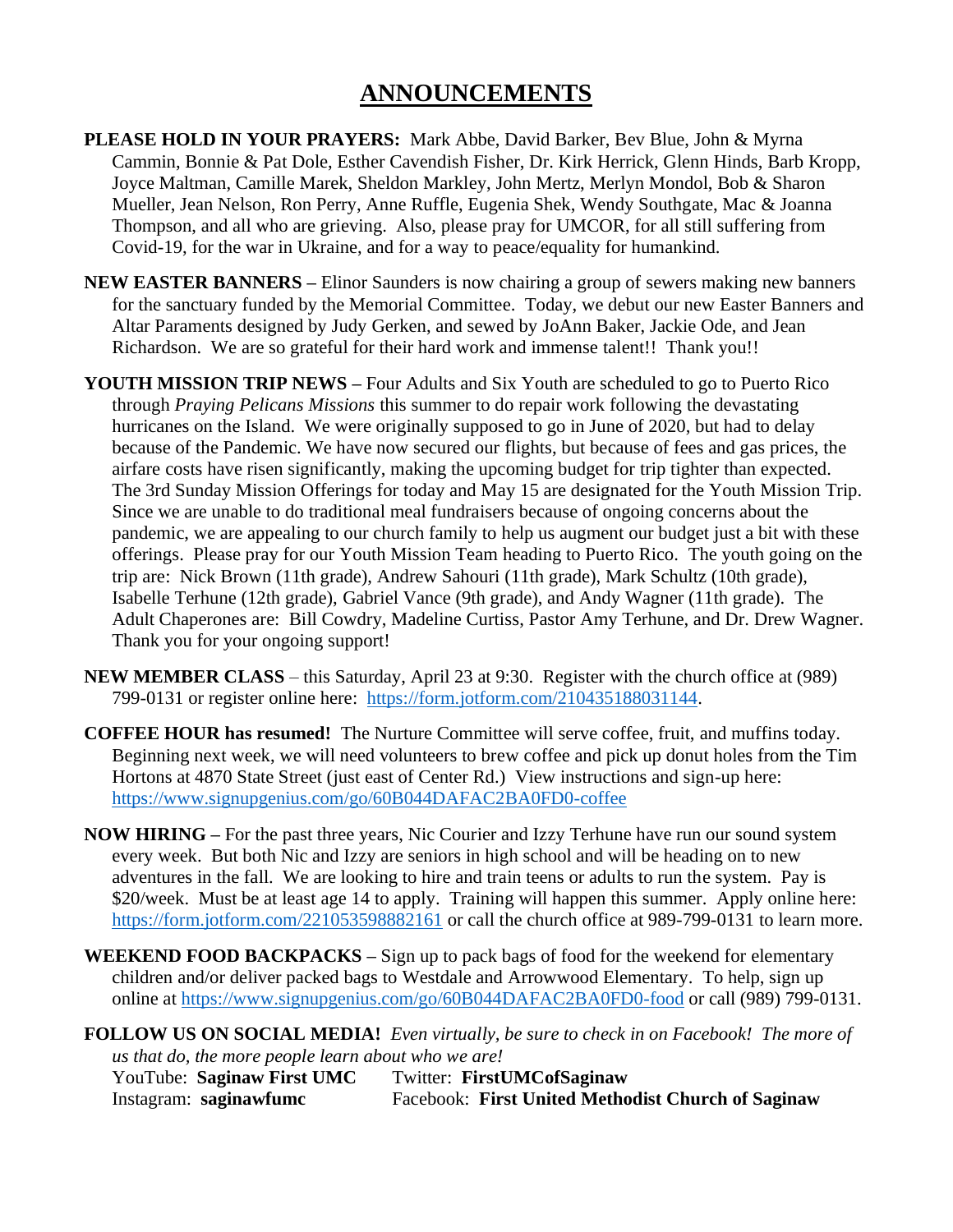# **ANNOUNCEMENTS**

- **PLEASE HOLD IN YOUR PRAYERS:** Mark Abbe, David Barker, Bev Blue, John & Myrna Cammin, Bonnie & Pat Dole, Esther Cavendish Fisher, Dr. Kirk Herrick, Glenn Hinds, Barb Kropp, Joyce Maltman, Camille Marek, Sheldon Markley, John Mertz, Merlyn Mondol, Bob & Sharon Mueller, Jean Nelson, Ron Perry, Anne Ruffle, Eugenia Shek, Wendy Southgate, Mac & Joanna Thompson, and all who are grieving. Also, please pray for UMCOR, for all still suffering from Covid-19, for the war in Ukraine, and for a way to peace/equality for humankind.
- **NEW EASTER BANNERS –** Elinor Saunders is now chairing a group of sewers making new banners for the sanctuary funded by the Memorial Committee. Today, we debut our new Easter Banners and Altar Paraments designed by Judy Gerken, and sewed by JoAnn Baker, Jackie Ode, and Jean Richardson. We are so grateful for their hard work and immense talent!! Thank you!!
- **YOUTH MISSION TRIP NEWS –** Four Adults and Six Youth are scheduled to go to Puerto Rico through *Praying Pelicans Missions* this summer to do repair work following the devastating hurricanes on the Island. We were originally supposed to go in June of 2020, but had to delay because of the Pandemic. We have now secured our flights, but because of fees and gas prices, the airfare costs have risen significantly, making the upcoming budget for trip tighter than expected. The 3rd Sunday Mission Offerings for today and May 15 are designated for the Youth Mission Trip. Since we are unable to do traditional meal fundraisers because of ongoing concerns about the pandemic, we are appealing to our church family to help us augment our budget just a bit with these offerings. Please pray for our Youth Mission Team heading to Puerto Rico. The youth going on the trip are: Nick Brown (11th grade), Andrew Sahouri (11th grade), Mark Schultz (10th grade), Isabelle Terhune (12th grade), Gabriel Vance (9th grade), and Andy Wagner (11th grade). The Adult Chaperones are: Bill Cowdry, Madeline Curtiss, Pastor Amy Terhune, and Dr. Drew Wagner. Thank you for your ongoing support!
- **NEW MEMBER CLASS**  this Saturday, April 23 at 9:30. Register with the church office at (989) 799-0131 or register online here: [https://form.jotform.com/210435188031144.](https://form.jotform.com/210435188031144)
- **COFFEE HOUR has resumed!** The Nurture Committee will serve coffee, fruit, and muffins today. Beginning next week, we will need volunteers to brew coffee and pick up donut holes from the Tim Hortons at 4870 State Street (just east of Center Rd.) View instructions and sign-up here: <https://www.signupgenius.com/go/60B044DAFAC2BA0FD0-coffee>
- **NOW HIRING –** For the past three years, Nic Courier and Izzy Terhune have run our sound system every week. But both Nic and Izzy are seniors in high school and will be heading on to new adventures in the fall. We are looking to hire and train teens or adults to run the system. Pay is \$20/week. Must be at least age 14 to apply. Training will happen this summer. Apply online here: <https://form.jotform.com/221053598882161> or call the church office at 989-799-0131 to learn more.
- **WEEKEND FOOD BACKPACKS –** Sign up to pack bags of food for the weekend for elementary children and/or deliver packed bags to Westdale and Arrowwood Elementary. To help, sign up online at<https://www.signupgenius.com/go/60B044DAFAC2BA0FD0-food> or call (989) 799-0131.

**FOLLOW US ON SOCIAL MEDIA!** *Even virtually, be sure to check in on Facebook! The more of us that do, the more people learn about who we are!* YouTube: **Saginaw First UMC** Twitter: **FirstUMCofSaginaw** Instagram: **saginawfumc** Facebook: **First United Methodist Church of Saginaw**